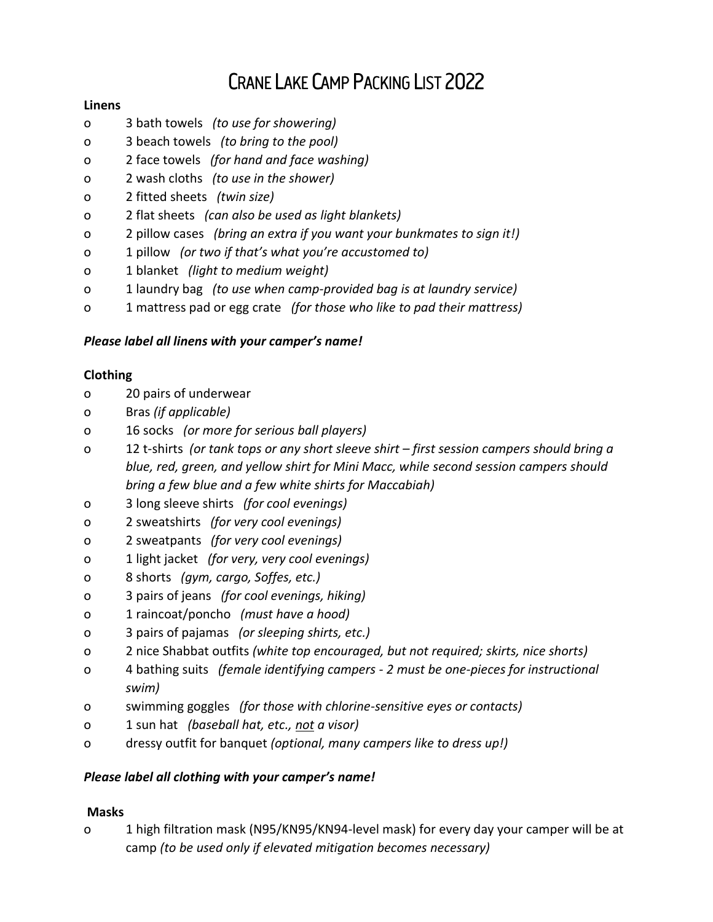# **CRANE LAKE CAMP PACKING LIST 2022**

## **Linens**

- o 3 bath towels *(to use for showering)*
- o 3 beach towels *(to bring to the pool)*
- o 2 face towels *(for hand and face washing)*
- o 2 wash cloths *(to use in the shower)*
- o 2 fitted sheets *(twin size)*
- o 2 flat sheets *(can also be used as light blankets)*
- o 2 pillow cases *(bring an extra if you want your bunkmates to sign it!)*
- o 1 pillow *(or two if that's what you're accustomed to)*
- o 1 blanket *(light to medium weight)*
- o 1 laundry bag *(to use when camp-provided bag is at laundry service)*
- o 1 mattress pad or egg crate *(for those who like to pad their mattress)*

## *Please label all linens with your camper's name!*

## **Clothing**

- o 20 pairs of underwear
- o Bras *(if applicable)*
- o 16 socks *(or more for serious ball players)*
- o 12 t-shirts *(or tank tops or any short sleeve shirt – first session campers should bring a blue, red, green, and yellow shirt for Mini Macc, while second session campers should bring a few blue and a few white shirts for Maccabiah)*
- o 3 long sleeve shirts *(for cool evenings)*
- o 2 sweatshirts *(for very cool evenings)*
- o 2 sweatpants *(for very cool evenings)*
- o 1 light jacket *(for very, very cool evenings)*
- o 8 shorts *(gym, cargo, Soffes, etc.)*
- o 3 pairs of jeans *(for cool evenings, hiking)*
- o 1 raincoat/poncho *(must have a hood)*
- o 3 pairs of pajamas *(or sleeping shirts, etc.)*
- o 2 nice Shabbat outfits *(white top encouraged, but not required; skirts, nice shorts)*
- o 4 bathing suits *(female identifying campers - 2 must be one-pieces for instructional swim)*
- o swimming goggles *(for those with chlorine-sensitive eyes or contacts)*
- o 1 sun hat *(baseball hat, etc., not a visor)*
- o dressy outfit for banquet *(optional, many campers like to dress up!)*

## *Please label all clothing with your camper's name!*

## **Masks**

o 1 high filtration mask (N95/KN95/KN94-level mask) for every day your camper will be at camp *(to be used only if elevated mitigation becomes necessary)*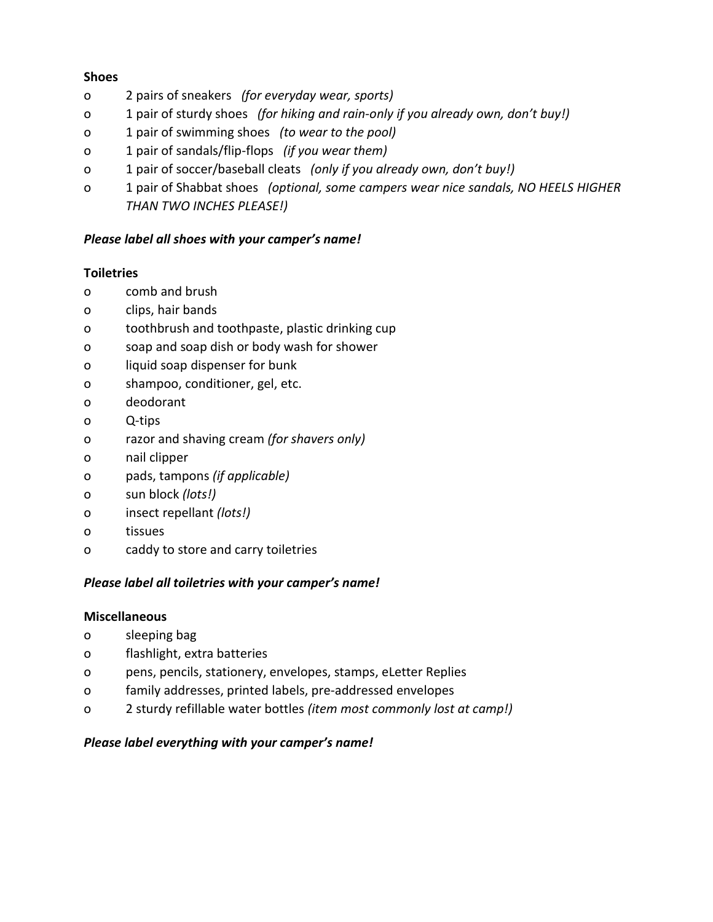#### **Shoes**

- o 2 pairs of sneakers *(for everyday wear, sports)*
- o 1 pair of sturdy shoes *(for hiking and rain-only if you already own, don't buy!)*
- o 1 pair of swimming shoes *(to wear to the pool)*
- o 1 pair of sandals/flip-flops *(if you wear them)*
- o 1 pair of soccer/baseball cleats *(only if you already own, don't buy!)*
- o 1 pair of Shabbat shoes *(optional, some campers wear nice sandals, NO HEELS HIGHER THAN TWO INCHES PLEASE!)*

#### *Please label all shoes with your camper's name!*

#### **Toiletries**

- o comb and brush
- o clips, hair bands
- o toothbrush and toothpaste, plastic drinking cup
- o soap and soap dish or body wash for shower
- o liquid soap dispenser for bunk
- o shampoo, conditioner, gel, etc.
- o deodorant
- o Q-tips
- o razor and shaving cream *(for shavers only)*
- o nail clipper
- o pads, tampons *(if applicable)*
- o sun block *(lots!)*
- o insect repellant *(lots!)*
- o tissues
- o caddy to store and carry toiletries

## *Please label all toiletries with your camper's name!*

#### **Miscellaneous**

- o sleeping bag
- o flashlight, extra batteries
- o pens, pencils, stationery, envelopes, stamps, eLetter Replies
- o family addresses, printed labels, pre-addressed envelopes
- o 2 sturdy refillable water bottles *(item most commonly lost at camp!)*

## *Please label everything with your camper's name!*